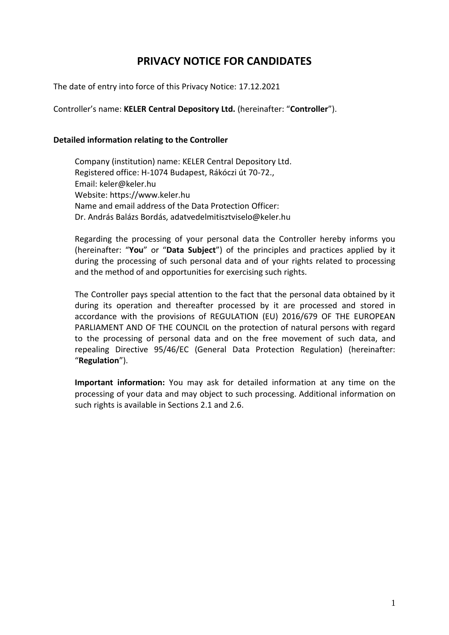# **PRIVACY NOTICE FOR CANDIDATES**

The date of entry into force of this Privacy Notice: 17.12.2021

Controller's name: **KELER Central Depository Ltd.** (hereinafter: "**Controller**").

#### **Detailed information relating to the Controller**

Company (institution) name: KELER Central Depository Ltd. Registered office: H-1074 Budapest, Rákóczi út 70-72., Email: keler@keler.hu Website: https://www.keler.hu Name and email address of the Data Protection Officer: Dr. András Balázs Bordás, adatvedelmitisztviselo@keler.hu

Regarding the processing of your personal data the Controller hereby informs you (hereinafter: "**You**" or "**Data Subject**") of the principles and practices applied by it during the processing of such personal data and of your rights related to processing and the method of and opportunities for exercising such rights.

The Controller pays special attention to the fact that the personal data obtained by it during its operation and thereafter processed by it are processed and stored in accordance with the provisions of REGULATION (EU) 2016/679 OF THE EUROPEAN PARLIAMENT AND OF THE COUNCIL on the protection of natural persons with regard to the processing of personal data and on the free movement of such data, and repealing Directive 95/46/EC (General Data Protection Regulation) (hereinafter: "**Regulation**").

**Important information:** You may ask for detailed information at any time on the processing of your data and may object to such processing. Additional information on such rights is available in Sections 2.1 and 2.6.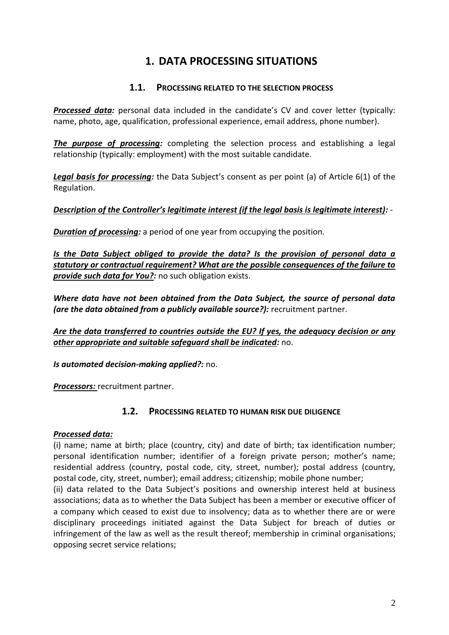# **1. DATA PROCESSING SITUATIONS**

### **1.1. PROCESSING RELATED TO THE SELECTION PROCESS**

*Processed data:* personal data included in the candidate's CV and cover letter (typically: name, photo, age, qualification, professional experience, email address, phone number).

*The purpose of processing:* completing the selection process and establishing a legal relationship (typically: employment) with the most suitable candidate.

*Legal basis for processing:* the Data Subject's consent as per point (a) of Article 6(1) of the Regulation.

*Description of the Controller's legitimate interest (if the legal basis is legitimate interest):* -

*Duration of processing:* a period of one year from occupying the position.

*Is the Data Subject obliged to provide the data? Is the provision of personal data a statutory or contractual requirement? What are the possible consequences of the failure to provide such data for You?:* no such obligation exists.

*Where data have not been obtained from the Data Subject, the source of personal data (are the data obtained from a publicly available source?):* recruitment partner.

*Are the data transferred to countries outside the EU? If yes, the adequacy decision or any other appropriate and suitable safeguard shall be indicated:* no.

*Is automated decision-making applied?:* no.

*Processors:* recruitment partner.

### **1.2. PROCESSING RELATED TO HUMAN RISK DUE DILIGENCE**

### *Processed data:*

(i) name; name at birth; place (country, city) and date of birth; tax identification number; personal identification number; identifier of a foreign private person; mother's name; residential address (country, postal code, city, street, number); postal address (country, postal code, city, street, number); email address; citizenship; mobile phone number;

(ii) data related to the Data Subject's positions and ownership interest held at business associations; data as to whether the Data Subject has been a member or executive officer of a company which ceased to exist due to insolvency; data as to whether there are or were disciplinary proceedings initiated against the Data Subject for breach of duties or infringement of the law as well as the result thereof; membership in criminal organisations; opposing secret service relations;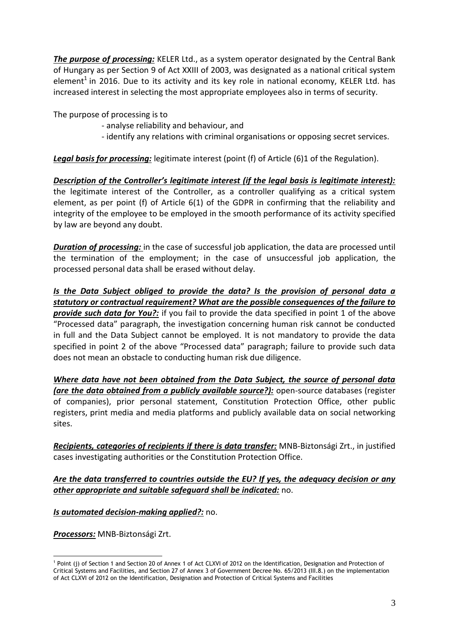*The purpose of processing:* KELER Ltd., as a system operator designated by the Central Bank of Hungary as per Section 9 of Act XXIII of 2003, was designated as a national critical system element<sup>1</sup> in 2016. Due to its activity and its key role in national economy, KELER Ltd. has increased interest in selecting the most appropriate employees also in terms of security.

The purpose of processing is to

- analyse reliability and behaviour, and
- identify any relations with criminal organisations or opposing secret services.

**Legal basis for processing:** legitimate interest (point (f) of Article (6)1 of the Regulation).

*Description of the Controller's legitimate interest (if the legal basis is legitimate interest):* the legitimate interest of the Controller, as a controller qualifying as a critical system element, as per point (f) of Article 6(1) of the GDPR in confirming that the reliability and integrity of the employee to be employed in the smooth performance of its activity specified by law are beyond any doubt.

*Duration of processing:* in the case of successful job application, the data are processed until the termination of the employment; in the case of unsuccessful job application, the processed personal data shall be erased without delay.

*Is the Data Subject obliged to provide the data? Is the provision of personal data a statutory or contractual requirement? What are the possible consequences of the failure to provide such data for You?:* if you fail to provide the data specified in point 1 of the above "Processed data" paragraph, the investigation concerning human risk cannot be conducted in full and the Data Subject cannot be employed. It is not mandatory to provide the data specified in point 2 of the above "Processed data" paragraph; failure to provide such data does not mean an obstacle to conducting human risk due diligence.

*Where data have not been obtained from the Data Subject, the source of personal data (are the data obtained from a publicly available source?):* open-source databases (register of companies), prior personal statement, Constitution Protection Office, other public registers, print media and media platforms and publicly available data on social networking sites.

*Recipients, categories of recipients if there is data transfer:* MNB-Biztonsági Zrt., in justified cases investigating authorities or the Constitution Protection Office.

### *Are the data transferred to countries outside the EU? If yes, the adequacy decision or any other appropriate and suitable safeguard shall be indicated:* no.

*Is automated decision-making applied?:* no.

*Processors:* MNB-Biztonsági Zrt.

 1 Point (j) of Section 1 and Section 20 of Annex 1 of Act CLXVI of 2012 on the Identification, Designation and Protection of Critical Systems and Facilities, and Section 27 of Annex 3 of Government Decree No. 65/2013 (III.8.) on the implementation of Act CLXVI of 2012 on the Identification, Designation and Protection of Critical Systems and Facilities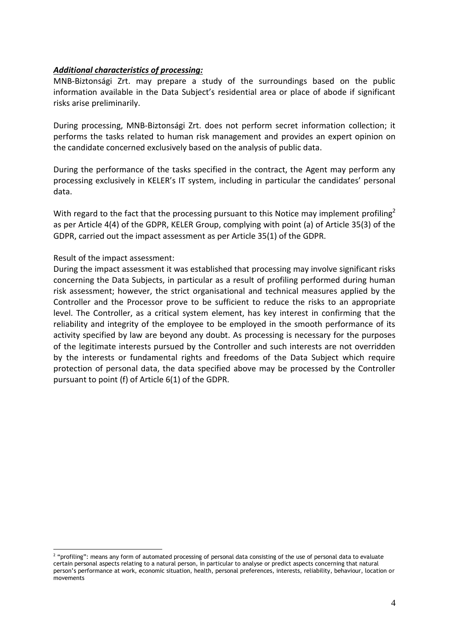#### *Additional characteristics of processing:*

MNB-Biztonsági Zrt. may prepare a study of the surroundings based on the public information available in the Data Subject's residential area or place of abode if significant risks arise preliminarily.

During processing, MNB-Biztonsági Zrt. does not perform secret information collection; it performs the tasks related to human risk management and provides an expert opinion on the candidate concerned exclusively based on the analysis of public data.

During the performance of the tasks specified in the contract, the Agent may perform any processing exclusively in KELER's IT system, including in particular the candidates' personal data.

With regard to the fact that the processing pursuant to this Notice may implement profiling<sup>2</sup> as per Article 4(4) of the GDPR, KELER Group, complying with point (a) of Article 35(3) of the GDPR, carried out the impact assessment as per Article 35(1) of the GDPR.

#### Result of the impact assessment:

 $\overline{a}$ 

During the impact assessment it was established that processing may involve significant risks concerning the Data Subjects, in particular as a result of profiling performed during human risk assessment; however, the strict organisational and technical measures applied by the Controller and the Processor prove to be sufficient to reduce the risks to an appropriate level. The Controller, as a critical system element, has key interest in confirming that the reliability and integrity of the employee to be employed in the smooth performance of its activity specified by law are beyond any doubt. As processing is necessary for the purposes of the legitimate interests pursued by the Controller and such interests are not overridden by the interests or fundamental rights and freedoms of the Data Subject which require protection of personal data, the data specified above may be processed by the Controller pursuant to point (f) of Article 6(1) of the GDPR.

<sup>&</sup>lt;sup>2</sup> "profiling": means any form of automated processing of personal data consisting of the use of personal data to evaluate certain personal aspects relating to a natural person, in particular to analyse or predict aspects concerning that natural person's performance at work, economic situation, health, personal preferences, interests, reliability, behaviour, location or movements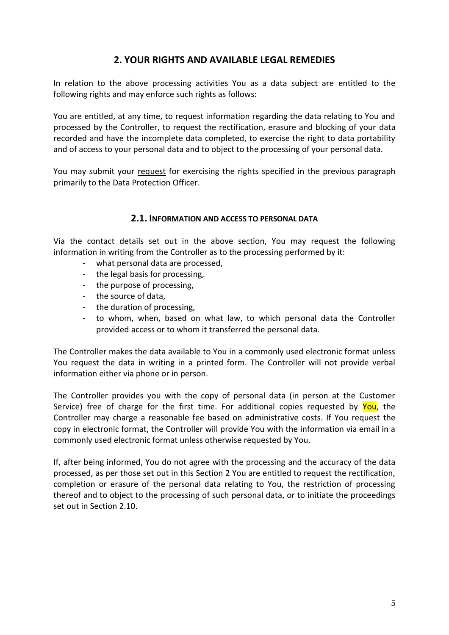# **2. YOUR RIGHTS AND AVAILABLE LEGAL REMEDIES**

In relation to the above processing activities You as a data subject are entitled to the following rights and may enforce such rights as follows:

You are entitled, at any time, to request information regarding the data relating to You and processed by the Controller, to request the rectification, erasure and blocking of your data recorded and have the incomplete data completed, to exercise the right to data portability and of access to your personal data and to object to the processing of your personal data.

You may submit your request for exercising the rights specified in the previous paragraph primarily to the Data Protection Officer.

#### **2.1. INFORMATION AND ACCESS TO PERSONAL DATA**

Via the contact details set out in the above section, You may request the following information in writing from the Controller as to the processing performed by it:

- **-** what personal data are processed,
- **-** the legal basis for processing,
- **-** the purpose of processing,
- **-** the source of data,
- **-** the duration of processing,
- **-** to whom, when, based on what law, to which personal data the Controller provided access or to whom it transferred the personal data.

The Controller makes the data available to You in a commonly used electronic format unless You request the data in writing in a printed form. The Controller will not provide verbal information either via phone or in person.

The Controller provides you with the copy of personal data (in person at the Customer Service) free of charge for the first time. For additional copies requested by You, the Controller may charge a reasonable fee based on administrative costs. If You request the copy in electronic format, the Controller will provide You with the information via email in a commonly used electronic format unless otherwise requested by You.

If, after being informed, You do not agree with the processing and the accuracy of the data processed, as per those set out in this Section 2 You are entitled to request the rectification, completion or erasure of the personal data relating to You, the restriction of processing thereof and to object to the processing of such personal data, or to initiate the proceedings set out in Section 2.10.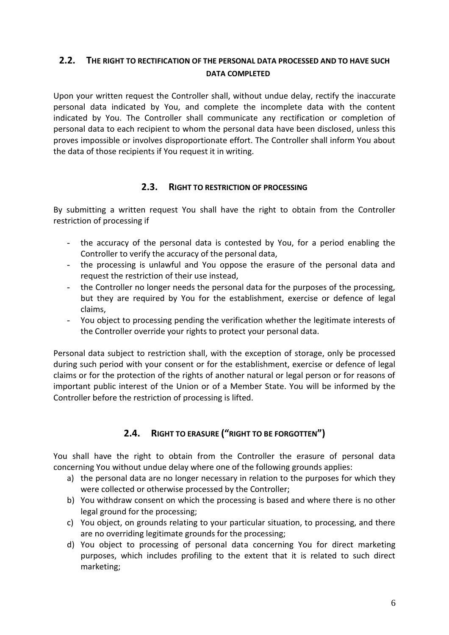# **2.2. THE RIGHT TO RECTIFICATION OF THE PERSONAL DATA PROCESSED AND TO HAVE SUCH DATA COMPLETED**

Upon your written request the Controller shall, without undue delay, rectify the inaccurate personal data indicated by You, and complete the incomplete data with the content indicated by You. The Controller shall communicate any rectification or completion of personal data to each recipient to whom the personal data have been disclosed, unless this proves impossible or involves disproportionate effort. The Controller shall inform You about the data of those recipients if You request it in writing.

### **2.3. RIGHT TO RESTRICTION OF PROCESSING**

By submitting a written request You shall have the right to obtain from the Controller restriction of processing if

- the accuracy of the personal data is contested by You, for a period enabling the Controller to verify the accuracy of the personal data,
- the processing is unlawful and You oppose the erasure of the personal data and request the restriction of their use instead,
- the Controller no longer needs the personal data for the purposes of the processing, but they are required by You for the establishment, exercise or defence of legal claims,
- You object to processing pending the verification whether the legitimate interests of the Controller override your rights to protect your personal data.

Personal data subject to restriction shall, with the exception of storage, only be processed during such period with your consent or for the establishment, exercise or defence of legal claims or for the protection of the rights of another natural or legal person or for reasons of important public interest of the Union or of a Member State. You will be informed by the Controller before the restriction of processing is lifted.

# **2.4. RIGHT TO ERASURE ("RIGHT TO BE FORGOTTEN")**

You shall have the right to obtain from the Controller the erasure of personal data concerning You without undue delay where one of the following grounds applies:

- a) the personal data are no longer necessary in relation to the purposes for which they were collected or otherwise processed by the Controller;
- b) You withdraw consent on which the processing is based and where there is no other legal ground for the processing;
- c) You object, on grounds relating to your particular situation, to processing, and there are no overriding legitimate grounds for the processing;
- d) You object to processing of personal data concerning You for direct marketing purposes, which includes profiling to the extent that it is related to such direct marketing;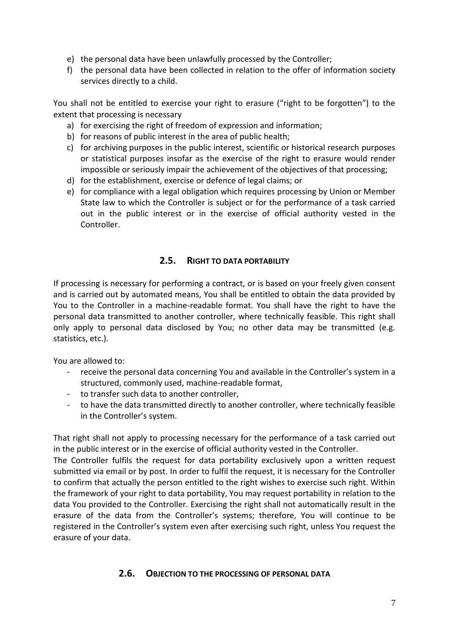- e) the personal data have been unlawfully processed by the Controller;
- f) the personal data have been collected in relation to the offer of information society services directly to a child.

You shall not be entitled to exercise your right to erasure ("right to be forgotten") to the extent that processing is necessary

- a) for exercising the right of freedom of expression and information;
- b) for reasons of public interest in the area of public health;
- c) for archiving purposes in the public interest, scientific or historical research purposes or statistical purposes insofar as the exercise of the right to erasure would render impossible or seriously impair the achievement of the objectives of that processing;
- d) for the establishment, exercise or defence of legal claims; or
- e) for compliance with a legal obligation which requires processing by Union or Member State law to which the Controller is subject or for the performance of a task carried out in the public interest or in the exercise of official authority vested in the Controller.

# **2.5. RIGHT TO DATA PORTABILITY**

If processing is necessary for performing a contract, or is based on your freely given consent and is carried out by automated means, You shall be entitled to obtain the data provided by You to the Controller in a machine-readable format. You shall have the right to have the personal data transmitted to another controller, where technically feasible. This right shall only apply to personal data disclosed by You; no other data may be transmitted (e.g. statistics, etc.).

You are allowed to:

- receive the personal data concerning You and available in the Controller's system in a structured, commonly used, machine-readable format,
- to transfer such data to another controller,
- to have the data transmitted directly to another controller, where technically feasible in the Controller's system.

That right shall not apply to processing necessary for the performance of a task carried out in the public interest or in the exercise of official authority vested in the Controller.

The Controller fulfils the request for data portability exclusively upon a written request submitted via email or by post. In order to fulfil the request, it is necessary for the Controller to confirm that actually the person entitled to the right wishes to exercise such right. Within the framework of your right to data portability, You may request portability in relation to the data You provided to the Controller. Exercising the right shall not automatically result in the erasure of the data from the Controller's systems; therefore, You will continue to be registered in the Controller's system even after exercising such right, unless You request the erasure of your data.

### **2.6. OBJECTION TO THE PROCESSING OF PERSONAL DATA**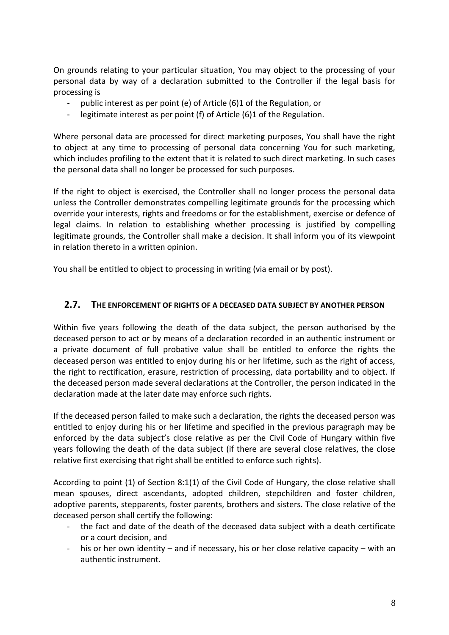On grounds relating to your particular situation, You may object to the processing of your personal data by way of a declaration submitted to the Controller if the legal basis for processing is

- public interest as per point (e) of Article (6)1 of the Regulation, or
- legitimate interest as per point (f) of Article (6)1 of the Regulation.

Where personal data are processed for direct marketing purposes, You shall have the right to object at any time to processing of personal data concerning You for such marketing, which includes profiling to the extent that it is related to such direct marketing. In such cases the personal data shall no longer be processed for such purposes.

If the right to object is exercised, the Controller shall no longer process the personal data unless the Controller demonstrates compelling legitimate grounds for the processing which override your interests, rights and freedoms or for the establishment, exercise or defence of legal claims. In relation to establishing whether processing is justified by compelling legitimate grounds, the Controller shall make a decision. It shall inform you of its viewpoint in relation thereto in a written opinion.

You shall be entitled to object to processing in writing (via email or by post).

## **2.7. THE ENFORCEMENT OF RIGHTS OF A DECEASED DATA SUBJECT BY ANOTHER PERSON**

Within five years following the death of the data subject, the person authorised by the deceased person to act or by means of a declaration recorded in an authentic instrument or a private document of full probative value shall be entitled to enforce the rights the deceased person was entitled to enjoy during his or her lifetime, such as the right of access, the right to rectification, erasure, restriction of processing, data portability and to object. If the deceased person made several declarations at the Controller, the person indicated in the declaration made at the later date may enforce such rights.

If the deceased person failed to make such a declaration, the rights the deceased person was entitled to enjoy during his or her lifetime and specified in the previous paragraph may be enforced by the data subject's close relative as per the Civil Code of Hungary within five years following the death of the data subject (if there are several close relatives, the close relative first exercising that right shall be entitled to enforce such rights).

According to point (1) of Section 8:1(1) of the Civil Code of Hungary, the close relative shall mean spouses, direct ascendants, adopted children, stepchildren and foster children, adoptive parents, stepparents, foster parents, brothers and sisters. The close relative of the deceased person shall certify the following:

- the fact and date of the death of the deceased data subject with a death certificate or a court decision, and
- his or her own identity and if necessary, his or her close relative capacity with an authentic instrument.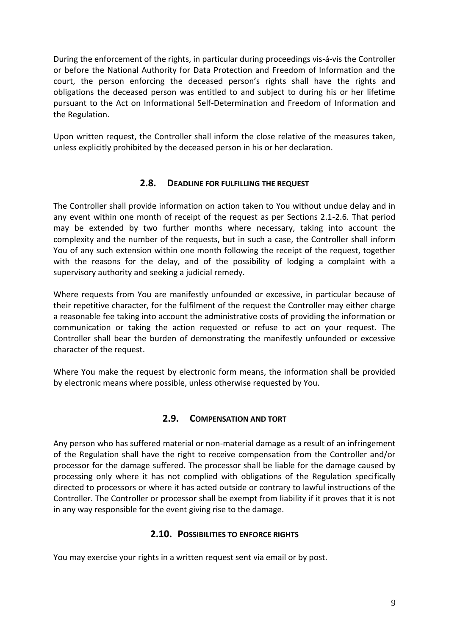During the enforcement of the rights, in particular during proceedings vis-á-vis the Controller or before the National Authority for Data Protection and Freedom of Information and the court, the person enforcing the deceased person's rights shall have the rights and obligations the deceased person was entitled to and subject to during his or her lifetime pursuant to the Act on Informational Self-Determination and Freedom of Information and the Regulation.

Upon written request, the Controller shall inform the close relative of the measures taken, unless explicitly prohibited by the deceased person in his or her declaration.

## **2.8. DEADLINE FOR FULFILLING THE REQUEST**

The Controller shall provide information on action taken to You without undue delay and in any event within one month of receipt of the request as per Sections 2.1-2.6. That period may be extended by two further months where necessary, taking into account the complexity and the number of the requests, but in such a case, the Controller shall inform You of any such extension within one month following the receipt of the request, together with the reasons for the delay, and of the possibility of lodging a complaint with a supervisory authority and seeking a judicial remedy.

Where requests from You are manifestly unfounded or excessive, in particular because of their repetitive character, for the fulfilment of the request the Controller may either charge a reasonable fee taking into account the administrative costs of providing the information or communication or taking the action requested or refuse to act on your request. The Controller shall bear the burden of demonstrating the manifestly unfounded or excessive character of the request.

Where You make the request by electronic form means, the information shall be provided by electronic means where possible, unless otherwise requested by You.

## **2.9. COMPENSATION AND TORT**

Any person who has suffered material or non-material damage as a result of an infringement of the Regulation shall have the right to receive compensation from the Controller and/or processor for the damage suffered. The processor shall be liable for the damage caused by processing only where it has not complied with obligations of the Regulation specifically directed to processors or where it has acted outside or contrary to lawful instructions of the Controller. The Controller or processor shall be exempt from liability if it proves that it is not in any way responsible for the event giving rise to the damage.

## **2.10. POSSIBILITIES TO ENFORCE RIGHTS**

You may exercise your rights in a written request sent via email or by post.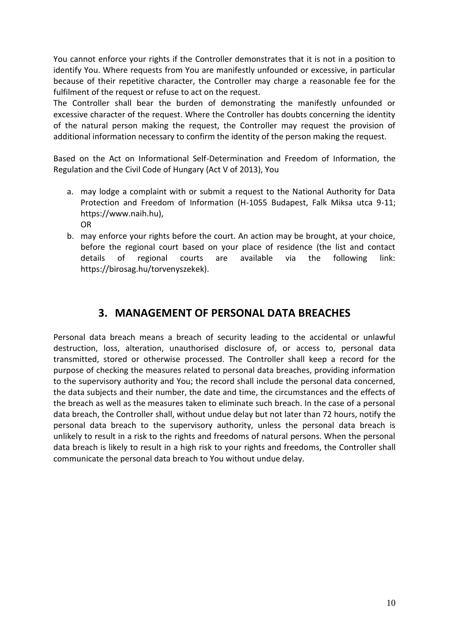You cannot enforce your rights if the Controller demonstrates that it is not in a position to identify You. Where requests from You are manifestly unfounded or excessive, in particular because of their repetitive character, the Controller may charge a reasonable fee for the fulfilment of the request or refuse to act on the request.

The Controller shall bear the burden of demonstrating the manifestly unfounded or excessive character of the request. Where the Controller has doubts concerning the identity of the natural person making the request, the Controller may request the provision of additional information necessary to confirm the identity of the person making the request.

Based on the Act on Informational Self-Determination and Freedom of Information, the Regulation and the Civil Code of Hungary (Act V of 2013), You

- a. may lodge a complaint with or submit a request to the National Authority for Data Protection and Freedom of Information (H-1055 Budapest, Falk Miksa utca 9-11; https://www.naih.hu), OR
- b. may enforce your rights before the court. An action may be brought, at your choice, before the regional court based on your place of residence (the list and contact details of regional courts are available via the following link: https://birosag.hu/torvenyszekek).

# **3. MANAGEMENT OF PERSONAL DATA BREACHES**

Personal data breach means a breach of security leading to the accidental or unlawful destruction, loss, alteration, unauthorised disclosure of, or access to, personal data transmitted, stored or otherwise processed. The Controller shall keep a record for the purpose of checking the measures related to personal data breaches, providing information to the supervisory authority and You; the record shall include the personal data concerned, the data subjects and their number, the date and time, the circumstances and the effects of the breach as well as the measures taken to eliminate such breach. In the case of a personal data breach, the Controller shall, without undue delay but not later than 72 hours, notify the personal data breach to the supervisory authority, unless the personal data breach is unlikely to result in a risk to the rights and freedoms of natural persons. When the personal data breach is likely to result in a high risk to your rights and freedoms, the Controller shall communicate the personal data breach to You without undue delay.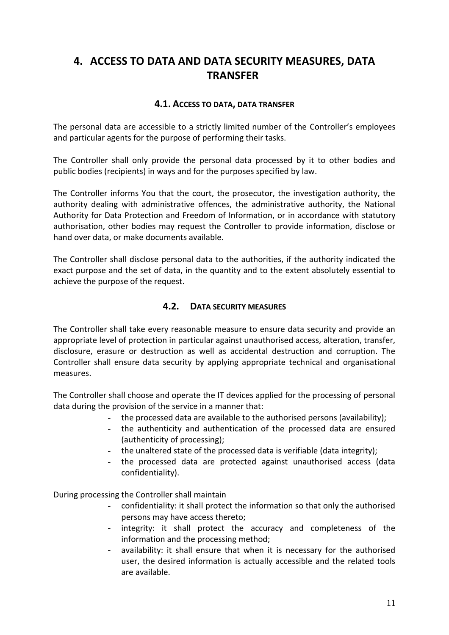# **4. ACCESS TO DATA AND DATA SECURITY MEASURES, DATA TRANSFER**

### **4.1. ACCESS TO DATA, DATA TRANSFER**

The personal data are accessible to a strictly limited number of the Controller's employees and particular agents for the purpose of performing their tasks.

The Controller shall only provide the personal data processed by it to other bodies and public bodies (recipients) in ways and for the purposes specified by law.

The Controller informs You that the court, the prosecutor, the investigation authority, the authority dealing with administrative offences, the administrative authority, the National Authority for Data Protection and Freedom of Information, or in accordance with statutory authorisation, other bodies may request the Controller to provide information, disclose or hand over data, or make documents available.

The Controller shall disclose personal data to the authorities, if the authority indicated the exact purpose and the set of data, in the quantity and to the extent absolutely essential to achieve the purpose of the request.

## **4.2. DATA SECURITY MEASURES**

The Controller shall take every reasonable measure to ensure data security and provide an appropriate level of protection in particular against unauthorised access, alteration, transfer, disclosure, erasure or destruction as well as accidental destruction and corruption. The Controller shall ensure data security by applying appropriate technical and organisational measures.

The Controller shall choose and operate the IT devices applied for the processing of personal data during the provision of the service in a manner that:

- **-** the processed data are available to the authorised persons (availability);
- **-** the authenticity and authentication of the processed data are ensured (authenticity of processing);
- **-** the unaltered state of the processed data is verifiable (data integrity);
- **-** the processed data are protected against unauthorised access (data confidentiality).

During processing the Controller shall maintain

- **-** confidentiality: it shall protect the information so that only the authorised persons may have access thereto;
- **-** integrity: it shall protect the accuracy and completeness of the information and the processing method;
- **-** availability: it shall ensure that when it is necessary for the authorised user, the desired information is actually accessible and the related tools are available.